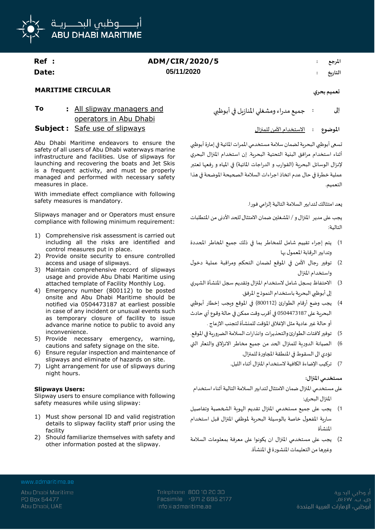

# **Ref : ADM/CIR/2020/5 : املرجع التاريخ : 05/11/2020 :Date**

### **تعميم بحري CIRCULAR MARITIME**

## **To :** All slipway managers and operators in Abu Dhabi **Subject :** Safe use of slipways للمنزال اآلمن االستخدام **: املوضوع**

Abu Dhabi Maritime endeavors to ensure the safety of all users of Abu Dhabi waterways marine infrastructure and facilities. Use of slipways for launching and recovering the boats and Jet Skis is a frequent activity, and must be properly managed and performed with necessary safety measures in place.

With immediate effect compliance with following safety measures is mandatory.

Slipways manager and or Operators must ensure compliance with following minimum requirement:

- 1) Comprehensive risk assessment is carried out including all the risks are identified and control measures put in place.
- 2) Provide onsite security to ensure controlled access and usage of slipways.
- 3) Maintain comprehensive record of slipways usage and provide Abu Dhabi Maritime using attached template of Facility Monthly Log.
- 4) Emergency number (800112) to be posted onsite and Abu Dhabi Maritime should be notified via 0504473187 at earliest possible in case of any incident or unusual events such as temporary closure of facility to issue advance marine notice to public to avoid any inconvenience.
- 5) Provide necessary emergency, warning, cautions and safety signage on the site.
- 6) Ensure regular inspection and maintenance of slipways and eliminate of hazards on site.
- 7) Light arrangement for use of slipways during night hours.

### **Slipways Users:**

Slipway users to ensure compliance with following safety measures while using slipway:

- 1) Must show personal ID and valid registration details to slipway facility staff prior using the facility
- 2) Should familiarize themselves with safety and other information posted at the slipway.

**إلى :** جميعمدراءومشغلياملنازيل فيأبوظبي

تسعى أبوظبي البحربة لضمان سلامة مستخدمي الممرات المائية في إمارة أبوظبي أثناء استخدام مرافق البنية التحتية البحرية. إن استخدام املنزال البحري لإنزال الوسائل البحرية (القوارب و الدراجات المائية) في المياه و رفعها تعتبر عملية خطرة في حال عدم اتخاذ اجراءات السالمة الصحيحة املوضحة في هذا التعميم.

يعد امتثالك لتدابير السلامة التالية إلزامي فورا.

يجب على مدير املنزال و / املشغلين ضمان االمتثال للحد األدنى من املتطلبات التالية:

- 1) يتم إجراء تقييم شامل للمخاطر بما في ذلك جميع المخاطر المحددة وتدابيرالرقابةاملعمول بها
- 2) توفير رجال الأمن في الموقع لضمان التحكم ومراقبة عملية دخول واستخدام املنزال
- 3) الاحتفاظ بسجل شامل لاستخدام المنزال وتقديم سجل المنشأة الشهري إلى أبوظبي البحرية باستخدام النموذج املرفق.
- 4) يجب وضع أرقام الطوارئ (800112) في الموقع وبجب إخطار أبوظبي البحرية على 0504473187 في أقرب وقت ممكن في حالة وقوع أي حادث أو حالة غير عادية مثل الإغلاق المؤقت للمنشأة لتجنب الازعاج .
- 5) توفير لافتات الطوارئ والتحذيرات وانذارات السلامة الضرورية في الموقع.
- 6) الصيانة الدورية للمنزال الحد من جميع مخاطر الانزلاق والتعثر التي تؤدي الى السقوط في المنطقة المجاورة للمنزال.
	- 7) تركيب الإضاءة الكافية لاستخدام المنزال أثناء الليل.

### **مستخدمي املنزال:**

على مستخدمي املنزالضمان االمتثال لتدابير السالمة التالية أثناء استخدام املنزال البحرى:

- 1( يجب على جميع مستخدمي املنزال تقديم الهوية الشخصية وتفاصيل سارية املفعول خاصة بالوسيلة البحرية ملوظفي املنزال قبل استخدام املنشأة
- 2) يجب على مستخدمي المنزال ان يكونوا على معرفة بمعلومات السلامة وغيرها من التعليمات المنشورة في المنشأة.

Telephone 800 10 20 30 Facsimile +971 2 695 2177 info@admaritime.ae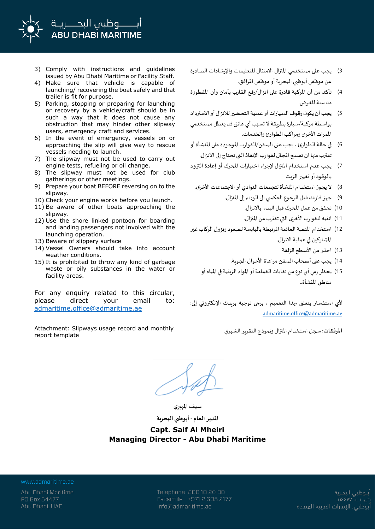

- 3) Comply with instructions and guidelines issued by Abu Dhabi Maritime or Facility Staff.
- 4) Make sure that vehicle is capable of launching/ recovering the boat safely and that trailer is fit for purpose.
- 5) Parking, stopping or preparing for launching or recovery by a vehicle/craft should be in such a way that it does not cause any obstruction that may hinder other slipway users, emergency craft and services.
- 6) In the event of emergency, vessels on or approaching the slip will give way to rescue vessels needing to launch.
- 7) The slipway must not be used to carry out engine tests, refueling or oil change.
- 8) The slipway must not be used for club gatherings or other meetings.
- 9) Prepare your boat BEFORE reversing on to the slipway.
- 10) Check your engine works before you launch.
- 11) Be aware of other boats approaching the slipway.
- 12) Use the shore linked pontoon for boarding and landing passengers not involved with the launching operation.
- 13) Beware of slippery surface
- 14) Vessel Owners should take into account weather conditions.
- 15) It is prohibited to throw any kind of garbage waste or oily substances in the water or facility areas.

For any enquiry related to this circular, please direct your email to: admaritime.office@admaritime.ae

Attachment: Slipways usage record and monthly report template

- 3) يجب على مستخدمي المنزال الامتثال للتعليمات والإرشادات الصادرة عن موظفي أبوظبي البحرية أو موظفي املرافق.
- 4) تأكد من أن المركبة قادرة على انزال/رفع القارب بأمان وأن المقطورة مناسبة للغرض.
- 5) يجب أن يكون وقوف السيارات أو عملية التحضير للانزال أو الاسترداد بواسطة مركبة/سيارة بطريقة ال تسبب أي عائق قد يعطل مستخدمي املمرات األخرى ومراكب الطوارئ والخدمات.
- 6) في حالة الطوارئ ، يجب على السفن/القوارب الموجودة على المنشأة أو تقترب منها ان تفسح املجال لقوارب اإلنقاذ التي تحتاج إلى االنزال.
- 7) يجب عدم استخدام المنزال لإجراء اختبارات المحرك أو إعادة التزود بالوقود أو تغيير الزيت.
	- 8) لا يجوز استخدام المنشأة لتجمعات النوادي أو الاجتماعات الأخرى.
		- 9) جهز قاربك قبل الرجوع العكسي إلى الوراء إلى المنزال.
			- 10( تحقق من عمل املحرك قبل البدء باالنزال.
			- 11( انتبه للقوارب األخرى التي تقترب من املنزال.
- 12) استخدام المنصة العائمة المرتبطة باليابسة لصعود ونزول الركاب غير املشاركين في عملية االنزال.
	- 13) احذر من الأسطح الزلقة
	- 14) يجب على أصحاب السفن مراعاة الأحوال الجوية.
	- 15( يحظر رمي أي نوع من نفايات القمامة أو املواد الزيتية في املياه أو مناطق المنشأة..

لأي استفسار يتعلق بهذا التعميم ، يرجى توجيه بربدك الإلكتروني إلى: admaritime.office@admaritime.ae

**املرفقات:**سجل استخدام املنزال ونموذج التقرير الشهري

**سيف املهيري**

**املدير العام - أبوظبي البحرية**

**Capt. Saif Al Mheiri Managing Director - Abu Dhabi Maritime**

www.admaritime.ae

Telephone 800 10 20 30 Facsimile +971 2 695 2177 info@admaritime.ae

أبــوظبي البحــرية ص. ب. ٧٧٤٤٧٣, أبوظبي، الإمارات العربية المتحدة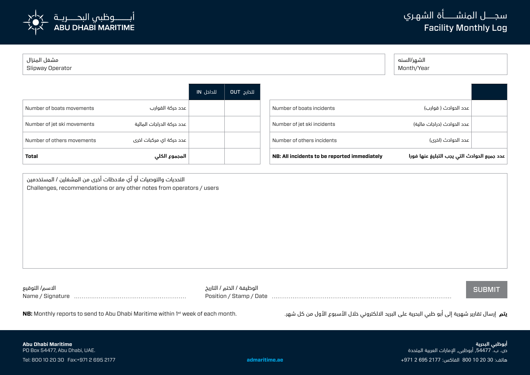

| Total                       | المجموع الكلى             |            |            | NB: All incidents to be reported immediately | عدد جميع الحوادث التي يجب التبليغ عنها فورا |  |
|-----------------------------|---------------------------|------------|------------|----------------------------------------------|---------------------------------------------|--|
| Number of others movements  | عدد حركة اي مركبات اخرى   |            |            | Number of others incidents                   | عدد الحوادث (اخرى)                          |  |
| Number of jet ski movements | عدد حركة الدراجات المائية |            |            | Number of jet ski incidents                  | عدد الحوادث (دراجات مائية)                  |  |
| Number of boats movements   | عدد حركة القوارب          |            |            | Number of boats incidents                    | عدد الحوادث ( قوارب)                        |  |
|                             |                           | اللداخل IN | للخارج OUT |                                              |                                             |  |
| <b>Slipway Operator</b>     |                           |            |            |                                              | Month/Year                                  |  |
| مشغل المنزال                |                           |            |            |                                              | الشهر/السنه                                 |  |

التحديات والتوصيات أو أي مالحظات أخرى من المشغلين / المستخدمين Challenges, recommendations or any other notes from operators / users

| الاسم/ التوقيع   | الوظيفة / الختم / التاريخ | SUBMIT |
|------------------|---------------------------|--------|
| Name / Signature | Position / Stamp / Date   |        |

**يتم** إرسال تقارير شهرية إلى أبو ظبي البحرية على البريد الالكتروني خلال الأسبوع الأول من كل شهر. .<br>**يتم** إرسال تقارير شهرية إلى أبو ظبي البحرية على البريد الالكتروني خلال الأسبوع الأول من كل شهر.